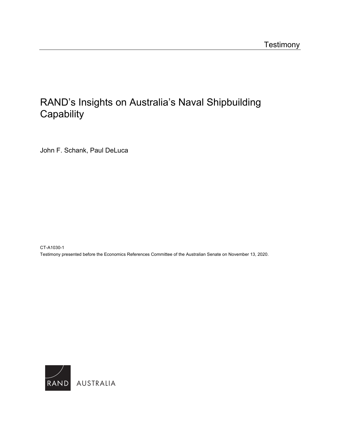## [RAND's Insights on Australia's Naval Shipbuilding](https://www.rand.org/pubs/testimonies/CTA1030-1.html)  **Capability**

John F. Schank, Paul DeLuca

CT-A1030-1 Testimony presented before the Economics References Committee of the Australian Senate on November 13, 2020.

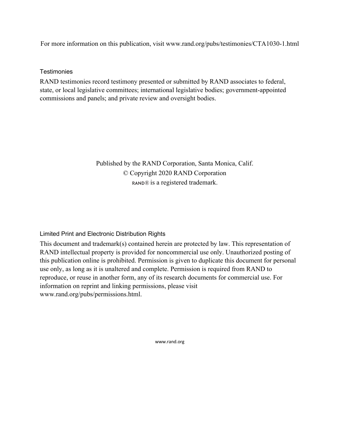For more information on this publication, visit [www.rand.org/pubs/testimonies/CTA1030-1.html](http://www.rand.org/pubs/testimonies/CTA1030-1.html) 

**Testimonies** 

RAND testimonies record testimony presented or submitted by RAND associates to federal, state, or local legislative committees; international legislative bodies; government-appointed commissions and panels; and private review and oversight bodies.

> Published by the RAND Corporation, Santa Monica, Calif. © Copyright 2020 RAND Corporation RAND® is a registered trademark.

Limited Print and Electronic Distribution Rights

This document and trademark(s) contained herein are protected by law. This representation of RAND intellectual property is provided for noncommercial use only. Unauthorized posting of this publication online is prohibited. Permission is given to duplicate this document for personal use only, as long as it is unaltered and complete. Permission is required from RAND to reproduce, or reuse in another form, any of its research documents for commercial use. For information on reprint and linking permissions, please visit [www.rand.org/pubs/permissions.html.](http://www.rand.org/pubs/permissions.html) 

[www.rand.org](http://www.rand.org)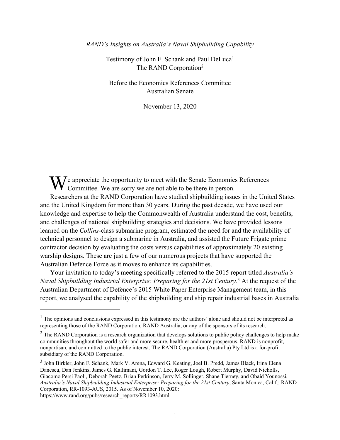*RAND's Insights on Australia's Naval Shipbuilding Capability*

Testimony of John F. Schank and Paul DeLuca<sup>1</sup> The RAND Corporation<sup>2</sup>

Before the Economics References Committee Australian Senate

November 13, 2020

e appreciate the opportunity to meet with the Senate Economics References We appreciate the opportunity to meet with the Senate Economics<br>Committee. We are sorry we are not able to be there in person.

Researchers at the RAND Corporation have studied shipbuilding issues in the United States and the United Kingdom for more than 30 years. During the past decade, we have used our knowledge and expertise to help the Commonwealth of Australia understand the cost, benefits, and challenges of national shipbuilding strategies and decisions. We have provided lessons learned on the *Collins*-class submarine program, estimated the need for and the availability of technical personnel to design a submarine in Australia, and assisted the Future Frigate prime contractor decision by evaluating the costs versus capabilities of approximately 20 existing warship designs. These are just a few of our numerous projects that have supported the Australian Defence Force as it moves to enhance its capabilities.

Your invitation to today's meeting specifically referred to the 2015 report titled *Australia's Naval Shipbuilding Industrial Enterprise: Preparing for the 21st Century*. 3 At the request of the Australian Department of Defence's 2015 White Paper Enterprise Management team, in this report, we analysed the capability of the shipbuilding and ship repair industrial bases in Australia

 $<sup>1</sup>$  The opinions and conclusions expressed in this testimony are the authors' alone and should not be interpreted as</sup> representing those of the RAND Corporation, RAND Australia, or any of the sponsors of its research.

<sup>&</sup>lt;sup>2</sup> The RAND Corporation is a research organization that develops solutions to public policy challenges to help make communities throughout the world safer and more secure, healthier and more prosperous. RAND is nonprofit, nonpartisan, and committed to the public interest. The RAND Corporation (Australia) Pty Ltd is a for-profit subsidiary of the RAND Corporation.

<sup>&</sup>lt;sup>3</sup> John Birkler, John F. Schank, Mark V. Arena, Edward G. Keating, Joel B. Predd, James Black, Irina Elena Danescu, Dan Jenkins, James G. Kallimani, Gordon T. Lee, Roger Lough, Robert Murphy, David Nicholls, Giacomo Persi Paoli, Deborah Peetz, Brian Perkinson, Jerry M. Sollinger, Shane Tierney, and Obaid Younossi, *Australia's Naval Shipbuilding Industrial Enterprise: Preparing for the 21st Century*, Santa Monica, Calif.: RAND Corporation, RR-1093-AUS, 2015. As of November 10, 2020: [https://www.rand.org/pubs/research\\_reports/RR1093.html](https://www.rand.org/pubs/research_reports/RR1093.html)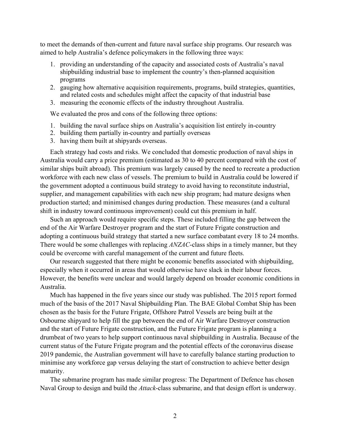to meet the demands of then-current and future naval surface ship programs. Our research was aimed to help Australia's defence policymakers in the following three ways:

- 1. providing an understanding of the capacity and associated costs of Australia's naval shipbuilding industrial base to implement the country's then-planned acquisition programs
- 2. gauging how alternative acquisition requirements, programs, build strategies, quantities, and related costs and schedules might affect the capacity of that industrial base
- 3. measuring the economic effects of the industry throughout Australia.

We evaluated the pros and cons of the following three options:

- 1. building the naval surface ships on Australia's acquisition list entirely in-country
- 2. building them partially in-country and partially overseas
- 3. having them built at shipyards overseas.

Each strategy had costs and risks. We concluded that domestic production of naval ships in Australia would carry a price premium (estimated as 30 to 40 percent compared with the cost of similar ships built abroad). This premium was largely caused by the need to recreate a production workforce with each new class of vessels. The premium to build in Australia could be lowered if the government adopted a continuous build strategy to avoid having to reconstitute industrial, supplier, and management capabilities with each new ship program; had mature designs when production started; and minimised changes during production. These measures (and a cultural shift in industry toward continuous improvement) could cut this premium in half.

Such an approach would require specific steps. These included filling the gap between the end of the Air Warfare Destroyer program and the start of Future Frigate construction and adopting a continuous build strategy that started a new surface combatant every 18 to 24 months. There would be some challenges with replacing *ANZAC*-class ships in a timely manner, but they could be overcome with careful management of the current and future fleets.

Our research suggested that there might be economic benefits associated with shipbuilding, especially when it occurred in areas that would otherwise have slack in their labour forces. However, the benefits were unclear and would largely depend on broader economic conditions in Australia.

Much has happened in the five years since our study was published. The 2015 report formed much of the basis of the 2017 Naval Shipbuilding Plan. The BAE Global Combat Ship has been chosen as the basis for the Future Frigate, Offshore Patrol Vessels are being built at the Osbourne shipyard to help fill the gap between the end of Air Warfare Destroyer construction and the start of Future Frigate construction, and the Future Frigate program is planning a drumbeat of two years to help support continuous naval shipbuilding in Australia. Because of the current status of the Future Frigate program and the potential effects of the coronavirus disease 2019 pandemic, the Australian government will have to carefully balance starting production to minimise any workforce gap versus delaying the start of construction to achieve better design maturity.

The submarine program has made similar progress: The Department of Defence has chosen Naval Group to design and build the *Attack*-class submarine, and that design effort is underway.